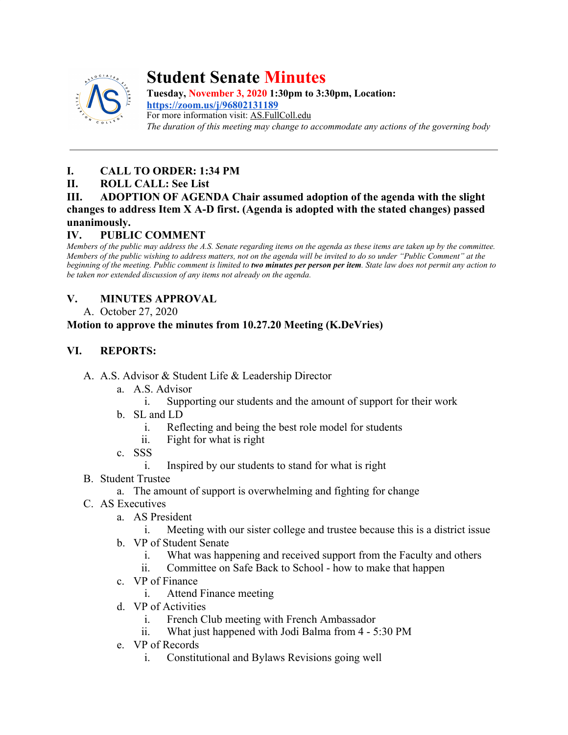

# **Student Senate Minutes**

**Tuesday, November 3, 2020 1:30pm to 3:30pm, Location: <https://zoom.us/j/96802131189>** For more information visit: AS.FullColl.edu *The duration of this meeting may change to accommodate any actions of the governing body*

# **I. CALL TO ORDER: 1:34 PM**

## **II. ROLL CALL: See List**

## **III. ADOPTION OF AGENDA Chair assumed adoption of the agenda with the slight changes to address Item X A-D first. (Agenda is adopted with the stated changes) passed unanimously.**

# **IV. PUBLIC COMMENT**

*Members of the public may address the A.S. Senate regarding items on the agenda as these items are taken up by the committee. Members of the public wishing to address matters, not on the agenda will be invited to do so under "Public Comment" at the beginning of the meeting. Public comment is limited to two minutes per person per item. State law does not permit any action to be taken nor extended discussion of any items not already on the agenda.*

# **V. MINUTES APPROVAL**

A. October 27, 2020

## **Motion to approve the minutes from 10.27.20 Meeting (K.DeVries)**

# **VI. REPORTS:**

- A. A.S. Advisor & Student Life & Leadership Director
	- a. A.S. Advisor
		- i. Supporting our students and the amount of support for their work
	- b. SL and LD
		- i. Reflecting and being the best role model for students
		- ii. Fight for what is right
	- c. SSS
		- Inspired by our students to stand for what is right
- B. Student Trustee
	- a. The amount of support is overwhelming and fighting for change
- C. AS Executives
	- a. AS President
		- i. Meeting with our sister college and trustee because this is a district issue
	- b. VP of Student Senate
		- i. What was happening and received support from the Faculty and others
		- ii. Committee on Safe Back to School how to make that happen
	- c. VP of Finance
		- i. Attend Finance meeting
	- d. VP of Activities
		- i. French Club meeting with French Ambassador
		- ii. What just happened with Jodi Balma from 4 5:30 PM
	- e. VP of Records
		- i. Constitutional and Bylaws Revisions going well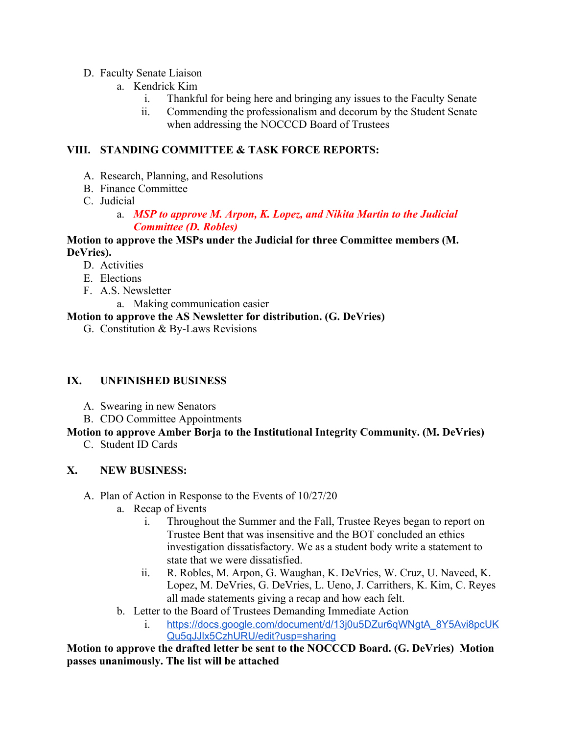## D. Faculty Senate Liaison

- a. Kendrick Kim
	- i. Thankful for being here and bringing any issues to the Faculty Senate
	- ii. Commending the professionalism and decorum by the Student Senate when addressing the NOCCCD Board of Trustees

## **VIII. STANDING COMMITTEE & TASK FORCE REPORTS:**

- A. Research, Planning, and Resolutions
- B. Finance Committee
- C. Judicial
	- a. *MSP to approve M. Arpon, K. Lopez, and Nikita Martin to the Judicial Committee (D. Robles)*

## **Motion to approve the MSPs under the Judicial for three Committee members (M. DeVries).**

- D. Activities
- E. Elections
- F. A.S. Newsletter
	- a. Making communication easier

## **Motion to approve the AS Newsletter for distribution. (G. DeVries)**

G. Constitution & By-Laws Revisions

## **IX. UNFINISHED BUSINESS**

- A. Swearing in new Senators
- B. CDO Committee Appointments

## **Motion to approve Amber Borja to the Institutional Integrity Community. (M. DeVries)**

C. Student ID Cards

## **X. NEW BUSINESS:**

- A. Plan of Action in Response to the Events of 10/27/20
	- a. Recap of Events
		- i. Throughout the Summer and the Fall, Trustee Reyes began to report on Trustee Bent that was insensitive and the BOT concluded an ethics investigation dissatisfactory. We as a student body write a statement to state that we were dissatisfied.
		- ii. R. Robles, M. Arpon, G. Waughan, K. DeVries, W. Cruz, U. Naveed, K. Lopez, M. DeVries, G. DeVries, L. Ueno, J. Carrithers, K. Kim, C. Reyes all made statements giving a recap and how each felt.
	- b. Letter to the Board of Trustees Demanding Immediate Action
		- i. [https://docs.google.com/document/d/13j0u5DZur6qWNgtA\\_8Y5Avi8pcUK](https://docs.google.com/document/d/13j0u5DZur6qWNgtA_8Y5Avi8pcUKQu5qJJlx5CzhURU/edit?usp=sharing) [Qu5qJJlx5CzhURU/edit?usp=sharing](https://docs.google.com/document/d/13j0u5DZur6qWNgtA_8Y5Avi8pcUKQu5qJJlx5CzhURU/edit?usp=sharing)

## **Motion to approve the drafted letter be sent to the NOCCCD Board. (G. DeVries) Motion passes unanimously. The list will be attached**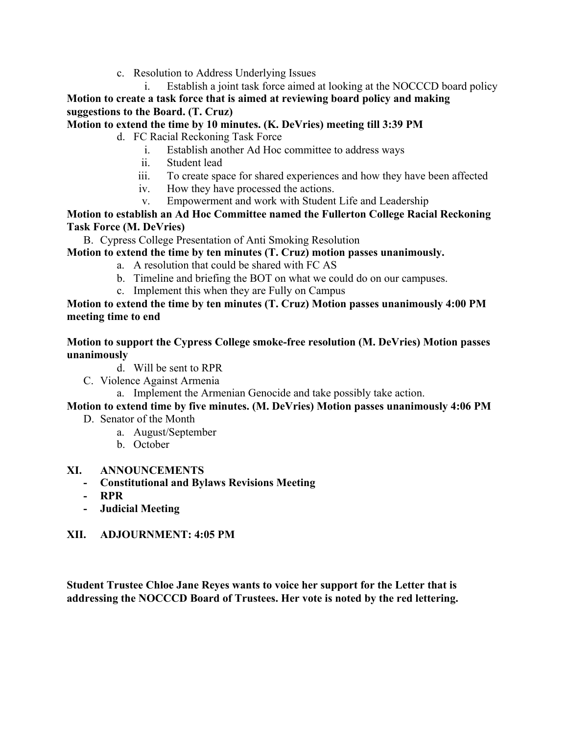c. Resolution to Address Underlying Issues

i. Establish a joint task force aimed at looking at the NOCCCD board policy **Motion to create a task force that is aimed at reviewing board policy and making suggestions to the Board. (T. Cruz)**

## **Motion to extend the time by 10 minutes. (K. DeVries) meeting till 3:39 PM**

d. FC Racial Reckoning Task Force

- i. Establish another Ad Hoc committee to address ways
- ii. Student lead
- iii. To create space for shared experiences and how they have been affected
- iv. How they have processed the actions.
- v. Empowerment and work with Student Life and Leadership

**Motion to establish an Ad Hoc Committee named the Fullerton College Racial Reckoning Task Force (M. DeVries)**

B. Cypress College Presentation of Anti Smoking Resolution

## **Motion to extend the time by ten minutes (T. Cruz) motion passes unanimously.**

- a. A resolution that could be shared with FC AS
- b. Timeline and briefing the BOT on what we could do on our campuses.
- c. Implement this when they are Fully on Campus

#### **Motion to extend the time by ten minutes (T. Cruz) Motion passes unanimously 4:00 PM meeting time to end**

#### **Motion to support the Cypress College smoke-free resolution (M. DeVries) Motion passes unanimously**

- d. Will be sent to RPR
- C. Violence Against Armenia
	- a. Implement the Armenian Genocide and take possibly take action.

## **Motion to extend time by five minutes. (M. DeVries) Motion passes unanimously 4:06 PM**

- D. Senator of the Month
	- a. August/September
	- b. October

## **XI. ANNOUNCEMENTS**

- **- Constitutional and Bylaws Revisions Meeting**
- **- RPR**
- **- Judicial Meeting**

## **XII. ADJOURNMENT: 4:05 PM**

**Student Trustee Chloe Jane Reyes wants to voice her support for the Letter that is addressing the NOCCCD Board of Trustees. Her vote is noted by the red lettering.**